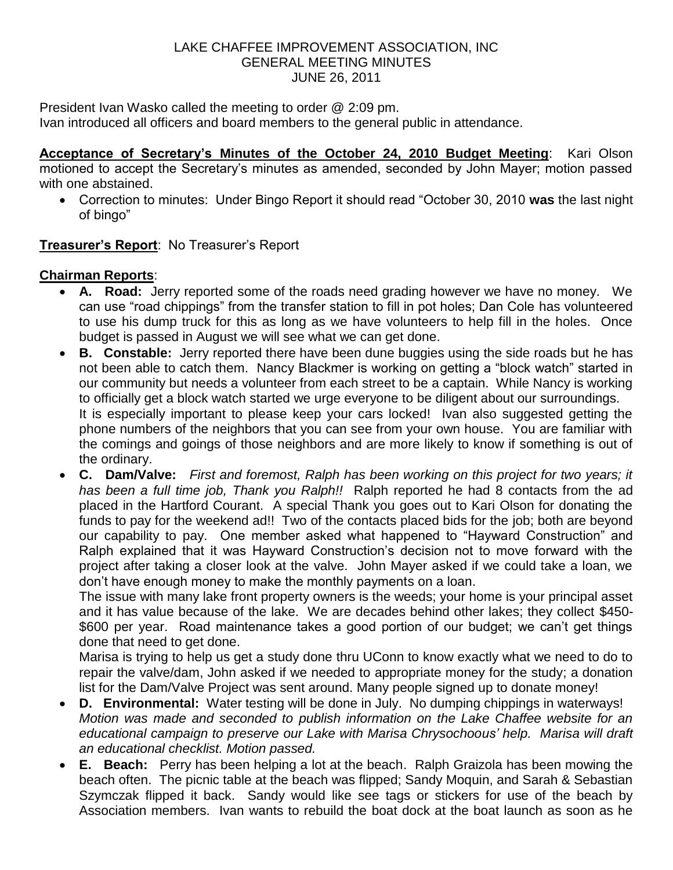## LAKE CHAFFEE IMPROVEMENT ASSOCIATION, INC GENERAL MEETING MINUTES JUNE 26, 2011

President Ivan Wasko called the meeting to order @ 2:09 pm.

Ivan introduced all officers and board members to the general public in attendance.

**Acceptance of Secretary's Minutes of the October 24, 2010 Budget Meeting**: Kari Olson motioned to accept the Secretary's minutes as amended, seconded by John Mayer; motion passed with one abstained.

 Correction to minutes: Under Bingo Report it should read "October 30, 2010 **was** the last night of bingo"

**Treasurer's Report**: No Treasurer's Report

## **Chairman Reports**:

- **A. Road:** Jerry reported some of the roads need grading however we have no money. We can use "road chippings" from the transfer station to fill in pot holes; Dan Cole has volunteered to use his dump truck for this as long as we have volunteers to help fill in the holes. Once budget is passed in August we will see what we can get done.
- **B. Constable:** Jerry reported there have been dune buggies using the side roads but he has not been able to catch them. Nancy Blackmer is working on getting a "block watch" started in our community but needs a volunteer from each street to be a captain. While Nancy is working to officially get a block watch started we urge everyone to be diligent about our surroundings. It is especially important to please keep your cars locked! Ivan also suggested getting the phone numbers of the neighbors that you can see from your own house. You are familiar with the comings and goings of those neighbors and are more likely to know if something is out of the ordinary.
- **C. Dam/Valve:** *First and foremost, Ralph has been working on this project for two years; it has been a full time job, Thank you Ralph!!* Ralph reported he had 8 contacts from the ad placed in the Hartford Courant. A special Thank you goes out to Kari Olson for donating the funds to pay for the weekend ad!! Two of the contacts placed bids for the job; both are beyond our capability to pay. One member asked what happened to "Hayward Construction" and Ralph explained that it was Hayward Construction's decision not to move forward with the project after taking a closer look at the valve. John Mayer asked if we could take a loan, we don't have enough money to make the monthly payments on a loan.

The issue with many lake front property owners is the weeds; your home is your principal asset and it has value because of the lake. We are decades behind other lakes; they collect \$450- \$600 per year. Road maintenance takes a good portion of our budget; we can't get things done that need to get done.

Marisa is trying to help us get a study done thru UConn to know exactly what we need to do to repair the valve/dam, John asked if we needed to appropriate money for the study; a donation list for the Dam/Valve Project was sent around. Many people signed up to donate money!

- **D. Environmental:** Water testing will be done in July. No dumping chippings in waterways! *Motion was made and seconded to publish information on the Lake Chaffee website for an educational campaign to preserve our Lake with Marisa Chrysochoous' help. Marisa will draft an educational checklist. Motion passed.*
- **E. Beach:** Perry has been helping a lot at the beach. Ralph Graizola has been mowing the beach often. The picnic table at the beach was flipped; Sandy Moquin, and Sarah & Sebastian Szymczak flipped it back. Sandy would like see tags or stickers for use of the beach by Association members. Ivan wants to rebuild the boat dock at the boat launch as soon as he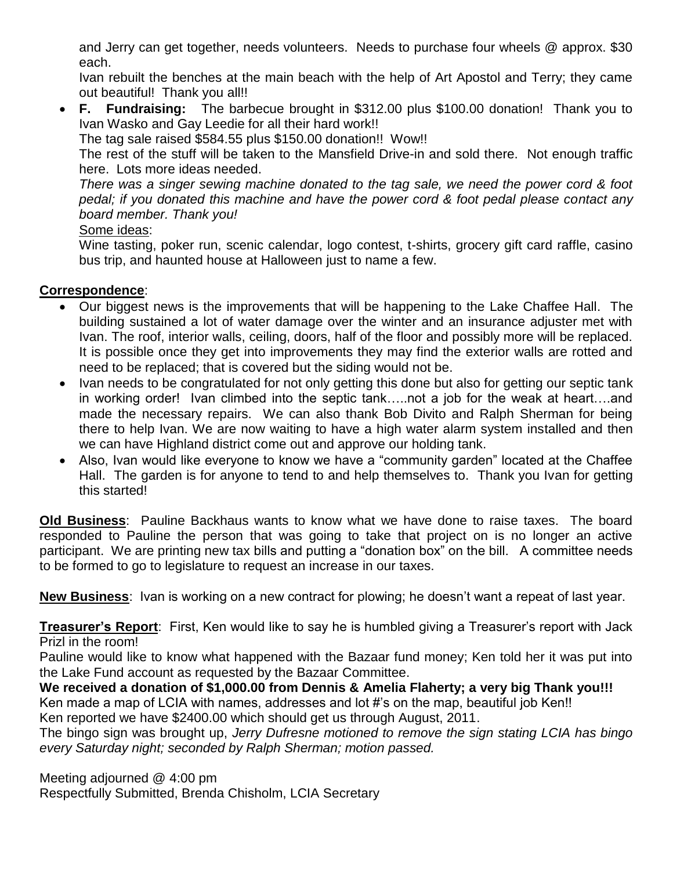and Jerry can get together, needs volunteers. Needs to purchase four wheels @ approx. \$30 each.

Ivan rebuilt the benches at the main beach with the help of Art Apostol and Terry; they came out beautiful! Thank you all!!

 **F. Fundraising:** The barbecue brought in \$312.00 plus \$100.00 donation! Thank you to Ivan Wasko and Gay Leedie for all their hard work!!

The tag sale raised \$584.55 plus \$150.00 donation!! Wow!!

The rest of the stuff will be taken to the Mansfield Drive-in and sold there. Not enough traffic here. Lots more ideas needed.

*There was a singer sewing machine donated to the tag sale, we need the power cord & foot pedal; if you donated this machine and have the power cord & foot pedal please contact any board member. Thank you!*

## Some ideas:

Wine tasting, poker run, scenic calendar, logo contest, t-shirts, grocery gift card raffle, casino bus trip, and haunted house at Halloween just to name a few.

## **Correspondence**:

- Our biggest news is the improvements that will be happening to the Lake Chaffee Hall. The building sustained a lot of water damage over the winter and an insurance adjuster met with Ivan. The roof, interior walls, ceiling, doors, half of the floor and possibly more will be replaced. It is possible once they get into improvements they may find the exterior walls are rotted and need to be replaced; that is covered but the siding would not be.
- Ivan needs to be congratulated for not only getting this done but also for getting our septic tank in working order! Ivan climbed into the septic tank…..not a job for the weak at heart….and made the necessary repairs. We can also thank Bob Divito and Ralph Sherman for being there to help Ivan. We are now waiting to have a high water alarm system installed and then we can have Highland district come out and approve our holding tank.
- Also, Ivan would like everyone to know we have a "community garden" located at the Chaffee Hall. The garden is for anyone to tend to and help themselves to. Thank you Ivan for getting this started!

**Old Business**: Pauline Backhaus wants to know what we have done to raise taxes. The board responded to Pauline the person that was going to take that project on is no longer an active participant. We are printing new tax bills and putting a "donation box" on the bill. A committee needs to be formed to go to legislature to request an increase in our taxes.

**New Business**: Ivan is working on a new contract for plowing; he doesn't want a repeat of last year.

**Treasurer's Report**: First, Ken would like to say he is humbled giving a Treasurer's report with Jack Prizl in the room!

Pauline would like to know what happened with the Bazaar fund money; Ken told her it was put into the Lake Fund account as requested by the Bazaar Committee.

**We received a donation of \$1,000.00 from Dennis & Amelia Flaherty; a very big Thank you!!!** Ken made a map of LCIA with names, addresses and lot #'s on the map, beautiful job Ken!! Ken reported we have \$2400.00 which should get us through August, 2011.

The bingo sign was brought up, *Jerry Dufresne motioned to remove the sign stating LCIA has bingo every Saturday night; seconded by Ralph Sherman; motion passed.*

Meeting adjourned @ 4:00 pm

Respectfully Submitted, Brenda Chisholm, LCIA Secretary